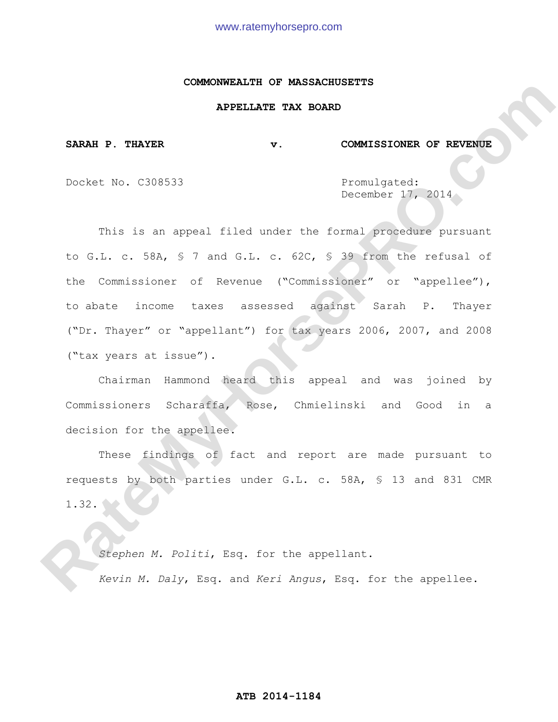### **COMMONWEALTH OF MASSACHUSETTS**

## **APPELLATE TAX BOARD**

SARAH P. THAYER **v.** COMMISSIONER OF REVENUE

Docket No. C308533 Promulgated:

December 17, 2014

This is an appeal filed under the formal procedure pursuant to G.L. c. 58A, § 7 and G.L. c. 62C, § 39 from the refusal of the Commissioner of Revenue ("Commissioner" or "appellee"), to abate income taxes assessed against Sarah P. Thayer ("Dr. Thayer" or "appellant") for tax years 2006, 2007, and 2008 ("tax years at issue"). **RARAH P. THATER**<br> **RARAH P. THATER**<br> **RARAH P. THATER**<br> **RAGEAL DEAST TAX BOARD**<br> **REGISTED ARE STATES (2014)**<br> **RAGEAL DEAST AND STATE SECTION CONFIDENCE**<br> **RAGEAL DEAST AND STATE SUPPOSE (2015)**<br> **RAGEAL DEAST OF SUPPOS** 

 Chairman Hammond heard this appeal and was joined by Commissioners Scharaffa, Rose, Chmielinski and Good in a decision for the appellee.

 These findings of fact and report are made pursuant to requests by both parties under G.L. c. 58A, § 13 and 831 CMR  $1.32.$ 

 *Stephen M. Politi*, Esq. for the appellant.  *Kevin M. Daly*, Esq. and *Keri Angus*, Esq. for the appellee.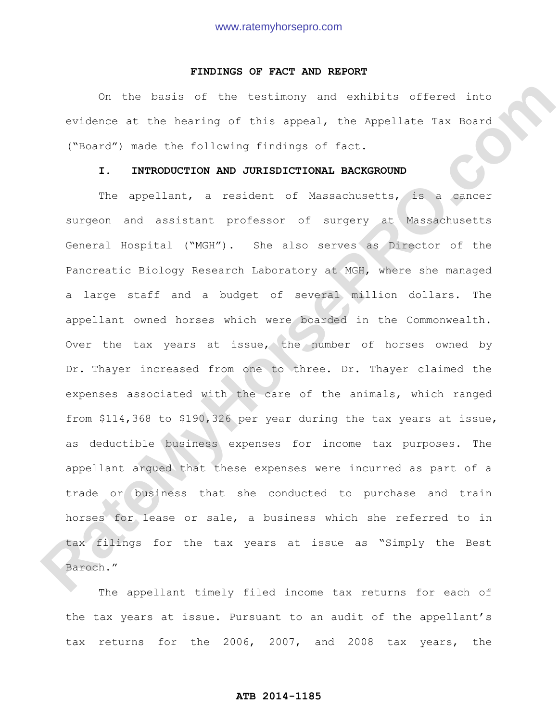### **FINDINGS OF FACT AND REPORT**

On the basis of the testimony and exhibits offered into evidence at the hearing of this appeal, the Appellate Tax Board ("Board") made the following findings of fact.

## **I. INTRODUCTION AND JURISDICTIONAL BACKGROUND**

The appellant, a resident of Massachusetts, is a cancer surgeon and assistant professor of surgery at Massachusetts General Hospital ("MGH"). She also serves as Director of the Pancreatic Biology Research Laboratory at MGH, where she managed a large staff and a budget of several million dollars. The appellant owned horses which were boarded in the Commonwealth. Over the tax years at issue, the number of horses owned by Dr. Thayer increased from one to three. Dr. Thayer claimed the expenses associated with the care of the animals, which ranged from \$114,368 to \$190,326 per year during the tax years at issue, as deductible business expenses for income tax purposes. The appellant argued that these expenses were incurred as part of a trade or business that she conducted to purchase and train horses for lease or sale, a business which she referred to in tax filings for the tax years at issue as "Simply the Best Baroch." On the best of the testimony and exhibits offered into<br>evidence at the hearing of this aspeal, the Ampellate Tax Roard<br>("scard") made the following findings of fact.<br> **R. INTRODUCTION AND JUNISDICTIONAL BACKGRODID**<br>
The ap

The appellant timely filed income tax returns for each of the tax years at issue. Pursuant to an audit of the appellant's tax returns for the 2006, 2007, and 2008 tax years, the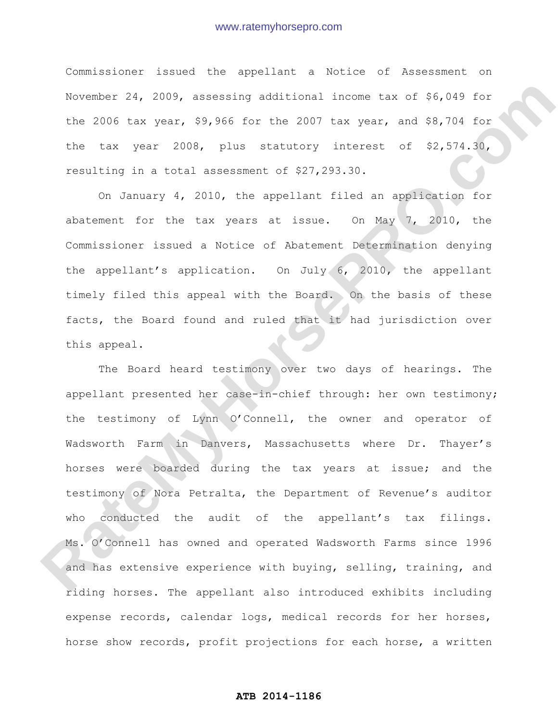Commissioner issued the appellant a Notice of Assessment on November 24, 2009, assessing additional income tax of \$6,049 for the 2006 tax year, \$9,966 for the 2007 tax year, and \$8,704 for the tax year 2008, plus statutory interest of \$2,574.30, resulting in a total assessment of \$27,293.30.

On January 4, 2010, the appellant filed an application for abatement for the tax years at issue. On May 7, 2010, the Commissioner issued a Notice of Abatement Determination denying the appellant's application. On July 6, 2010, the appellant timely filed this appeal with the Board. On the basis of these facts, the Board found and ruled that it had jurisdiction over this appeal.

The Board heard testimony over two days of hearings. The appellant presented her case-in-chief through: her own testimony; the testimony of Lynn O'Connell, the owner and operator of Wadsworth Farm in Danvers, Massachusetts where Dr. Thayer's horses were boarded during the tax years at issue; and the testimony of Nora Petralta, the Department of Revenue's auditor who conducted the audit of the appellant's tax filings. Ms. O'Connell has owned and operated Wadsworth Farms since 1996 and has extensive experience with buying, selling, training, and riding horses. The appellant also introduced exhibits including expense records, calendar logs, medical records for her horses, horse show records, profit projections for each horse, a written November 24, 2009, assossing additional income tax of \$6,049 for<br>the 2006 tax year, \$9,966 for the 2007 tax year, and \$8,784 for<br>the tax year 2008, plus stattcory interest of \$2,574.10,<br>resulting in a total assossment of \$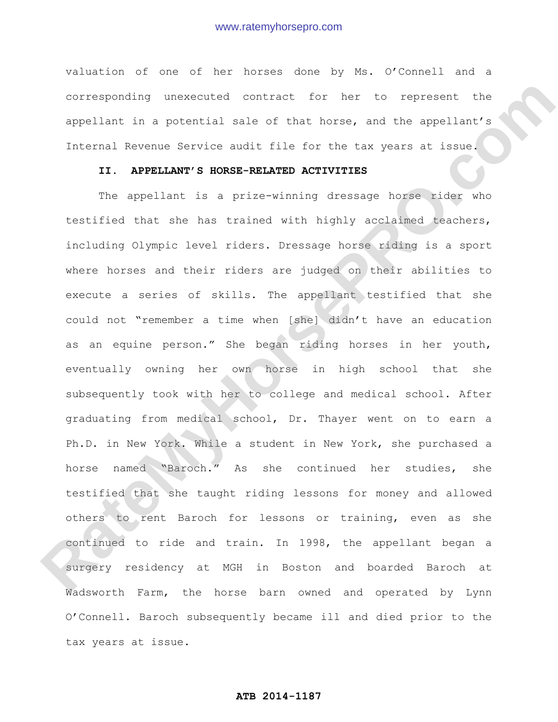valuation of one of her horses done by Ms. O'Connell and a corresponding unexecuted contract for her to represent the appellant in a potential sale of that horse, and the appellant's Internal Revenue Service audit file for the tax years at issue.

## **II. APPELLANT'S HORSE-RELATED ACTIVITIES**

 The appellant is a prize-winning dressage horse rider who testified that she has trained with highly acclaimed teachers, including Olympic level riders. Dressage horse riding is a sport where horses and their riders are judged on their abilities to execute a series of skills. The appellant testified that she could not "remember a time when [she] didn't have an education as an equine person." She began riding horses in her youth, eventually owning her own horse in high school that she subsequently took with her to college and medical school. After graduating from medical school, Dr. Thayer went on to earn a Ph.D. in New York. While a student in New York, she purchased a horse named "Baroch." As she continued her studies, she testified that she taught riding lessons for money and allowed others to rent Baroch for lessons or training, even as she continued to ride and train. In 1998, the appellant began a surgery residency at MGH in Boston and boarded Baroch at Wadsworth Farm, the horse barn owned and operated by Lynn O'Connell. Baroch subsequently became ill and died prior to the tax years at issue. corresponding unexecuted contract for her to represent the<br>appellari in a potential sale of that herse, and the appellant's<br>internal kevenue Service audit file for the tex years at issue<br>II. APPELLANT'S HONSE-RELATED ACTIV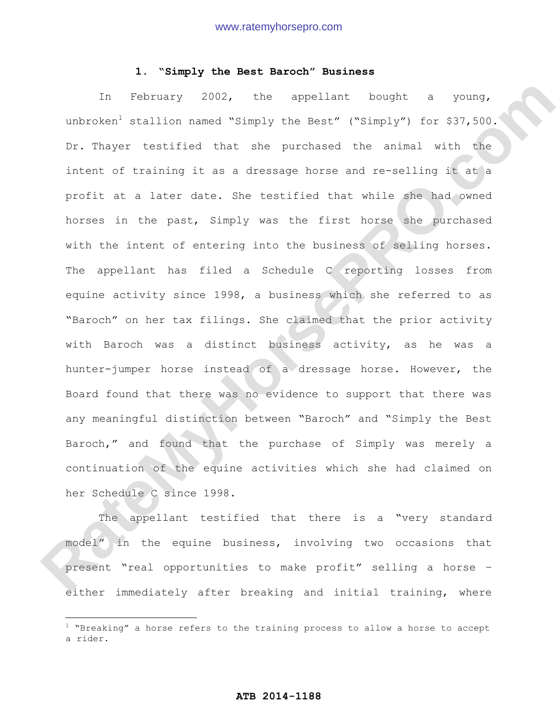## **1. "Simply the Best Baroch" Business**

In February 2002, the appellant bought a young, unbroken<sup>1</sup> stallion named "Simply the Best" ("Simply") for  $$37,500$ . Dr. Thayer testified that she purchased the animal with the intent of training it as a dressage horse and re-selling it at a profit at a later date. She testified that while she had owned horses in the past, Simply was the first horse she purchased with the intent of entering into the business of selling horses. The appellant has filed a Schedule C reporting losses from equine activity since 1998, a business which she referred to as "Baroch" on her tax filings. She claimed that the prior activity with Baroch was a distinct business activity, as he was a hunter-jumper horse instead of a dressage horse. However, the Board found that there was no evidence to support that there was any meaningful distinction between "Baroch" and "Simply the Best Baroch," and found that the purchase of Simply was merely a continuation of the equine activities which she had claimed on her Schedule C since 1998. In Poorwary 2002, the appellart bought a young,<br>unbroken<sup>5</sup> stallion named "Simply the Rest" ("Simply") for \$37,562.<br>
Cr. Theyer testified that she purchased the mindle with the<br>inter. of training it as a dressage horse an

The appellant testified that there is a "very standard model" in the equine business, involving two occasions that present "real opportunities to make profit" selling a horse – either immediately after breaking and initial training, where

 $\overline{a}$ 

 $1$  "Breaking" a horse refers to the training process to allow a horse to accept a rider.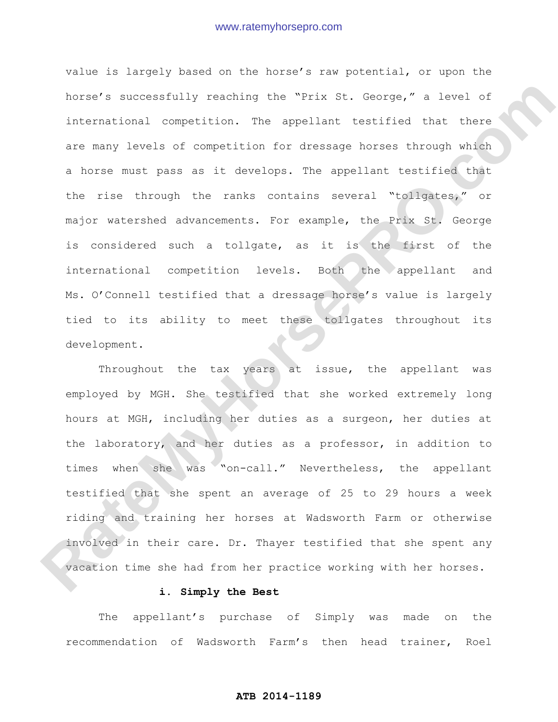value is largely based on the horse's raw potential, or upon the horse's successfully reaching the "Prix St. George," a level of international competition. The appellant testified that there are many levels of competition for dressage horses through which a horse must pass as it develops. The appellant testified that the rise through the ranks contains several "tollgates," or major watershed advancements. For example, the Prix St. George is considered such a tollgate, as it is the first of the international competition levels. Both the appellant and Ms. O'Connell testified that a dressage horse's value is largely tied to its ability to meet these tollgates throughout its development. horse's eucocostuily reaching the "Prix St. Coorgs," a level of<br>international commeticion. The appellant testified that there<br>are many levels of competition for dressage horses through which<br>a horse wust pass as it develop

Throughout the tax years at issue, the appellant was employed by MGH. She testified that she worked extremely long hours at MGH, including her duties as a surgeon, her duties at the laboratory, and her duties as a professor, in addition to times when she was "on-call." Nevertheless, the appellant testified that she spent an average of 25 to 29 hours a week riding and training her horses at Wadsworth Farm or otherwise involved in their care. Dr. Thayer testified that she spent any vacation time she had from her practice working with her horses.

## **i. Simply the Best**

The appellant's purchase of Simply was made on the recommendation of Wadsworth Farm's then head trainer, Roel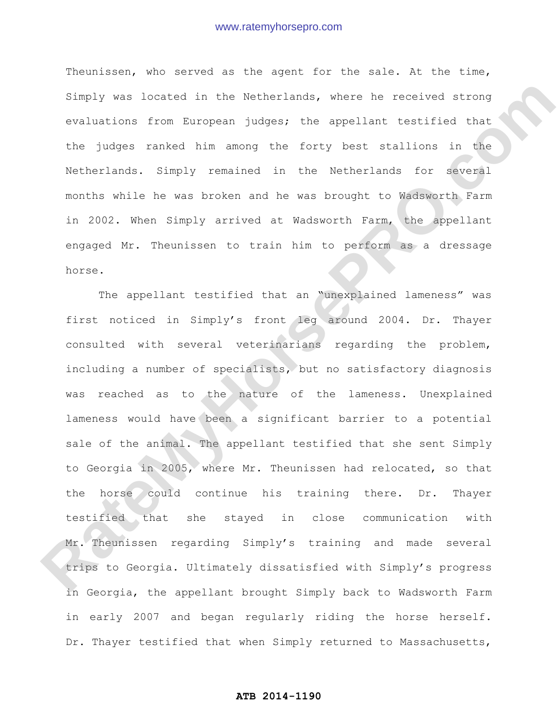Theunissen, who served as the agent for the sale. At the time, Simply was located in the Netherlands, where he received strong evaluations from European judges; the appellant testified that the judges ranked him among the forty best stallions in the Netherlands. Simply remained in the Netherlands for several months while he was broken and he was brought to Wadsworth Farm in 2002. When Simply arrived at Wadsworth Farm, the appellant engaged Mr. Theunissen to train him to perform as a dressage horse.

The appellant testified that an "unexplained lameness" was first noticed in Simply's front leg around 2004. Dr. Thayer consulted with several veterinarians regarding the problem, including a number of specialists, but no satisfactory diagnosis was reached as to the nature of the lameness. Unexplained lameness would have been a significant barrier to a potential sale of the animal. The appellant testified that she sent Simply to Georgia in 2005, where Mr. Theunissen had relocated, so that the horse could continue his training there. Dr. Thayer testified that she stayed in close communication with Mr. Theunissen regarding Simply's training and made several trips to Georgia. Ultimately dissatisfied with Simply's progress in Georgia, the appellant brought Simply back to Wadsworth Farm in early 2007 and began regularly riding the horse herself. Dr. Thayer testified that when Simply returned to Massachusetts, Simply was located in the Wetterlands, where be received strong<br>revitations from European judges; the appellant testified that<br>the judges ranked him among the forty best stallions in the<br>Wetherlands, Simply remained in the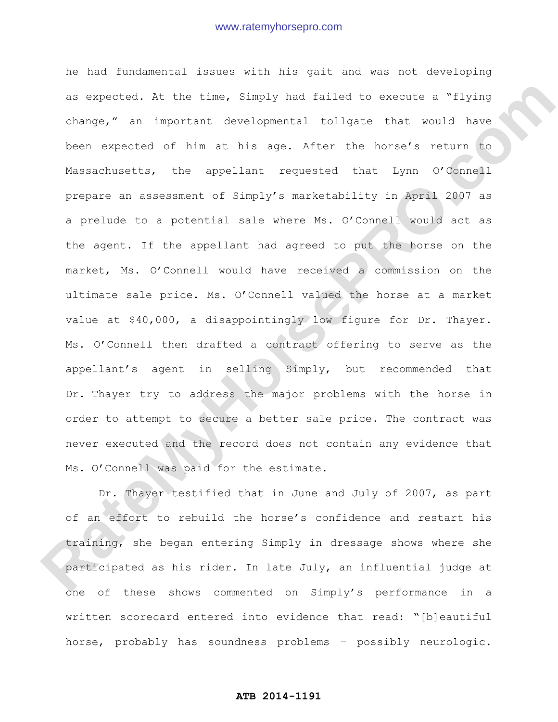he had fundamental issues with his gait and was not developing as expected. At the time, Simply had failed to execute a "flying change," an important developmental tollgate that would have been expected of him at his age. After the horse's return to Massachusetts, the appellant requested that Lynn O'Connell prepare an assessment of Simply's marketability in April 2007 as a prelude to a potential sale where Ms. O'Connell would act as the agent. If the appellant had agreed to put the horse on the market, Ms. O'Connell would have received a commission on the ultimate sale price. Ms. O'Connell valued the horse at a market value at \$40,000, a disappointingly low figure for Dr. Thayer. Ms. O'Connell then drafted a contract offering to serve as the appellant's agent in selling Simply, but recommended that Dr. Thayer try to address the major problems with the horse in order to attempt to secure a better sale price. The contract was never executed and the record does not contain any evidence that Ms. O'Connell was paid for the estimate. es oxpected. At the time, Simply had failed to execute a "flying<br>change," an important developmental tollate that would have<br>been expected of him at his age. After the horse's return to<br>Massachusatis, the appellant request

Dr. Thayer testified that in June and July of 2007, as part of an effort to rebuild the horse's confidence and restart his training, she began entering Simply in dressage shows where she participated as his rider. In late July, an influential judge at one of these shows commented on Simply's performance in a written scorecard entered into evidence that read: "[b]eautiful horse, probably has soundness problems – possibly neurologic.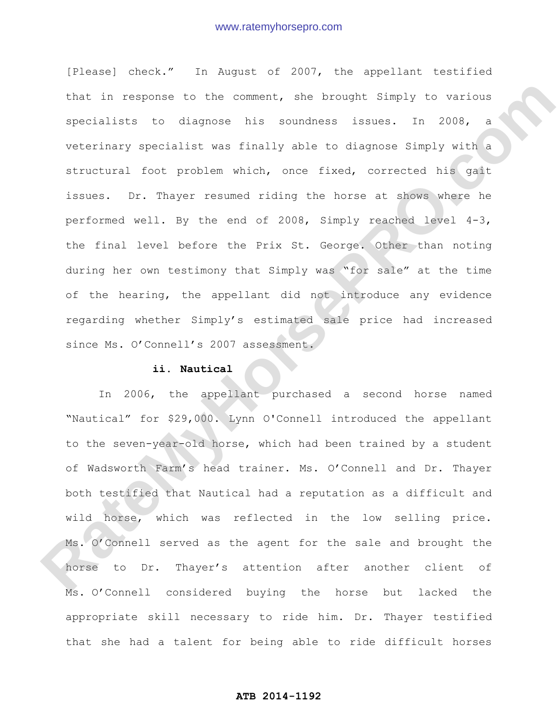[Please] check." In August of 2007, the appellant testified that in response to the comment, she brought Simply to various specialists to diagnose his soundness issues. In 2008, a veterinary specialist was finally able to diagnose Simply with a structural foot problem which, once fixed, corrected his gait issues. Dr. Thayer resumed riding the horse at shows where he performed well. By the end of 2008, Simply reached level 4-3, the final level before the Prix St. George. Other than noting during her own testimony that Simply was "for sale" at the time of the hearing, the appellant did not introduce any evidence regarding whether Simply's estimated sale price had increased since Ms. O'Connell's 2007 assessment. that in response to the comment, she brought Simply to various<br>smecialists to diagnose his soundness issues. In 2008, a<br>veterinary specialist was finally she to diagnose Simply with a<br>structural foot problem which, once fi

### **ii. Nautical**

 In 2006, the appellant purchased a second horse named "Nautical" for \$29,000. Lynn O'Connell introduced the appellant to the seven-year-old horse, which had been trained by a student of Wadsworth Farm's head trainer. Ms. O'Connell and Dr. Thayer both testified that Nautical had a reputation as a difficult and wild horse, which was reflected in the low selling price. Ms. O'Connell served as the agent for the sale and brought the horse to Dr. Thayer's attention after another client of Ms. O'Connell considered buying the horse but lacked the appropriate skill necessary to ride him. Dr. Thayer testified that she had a talent for being able to ride difficult horses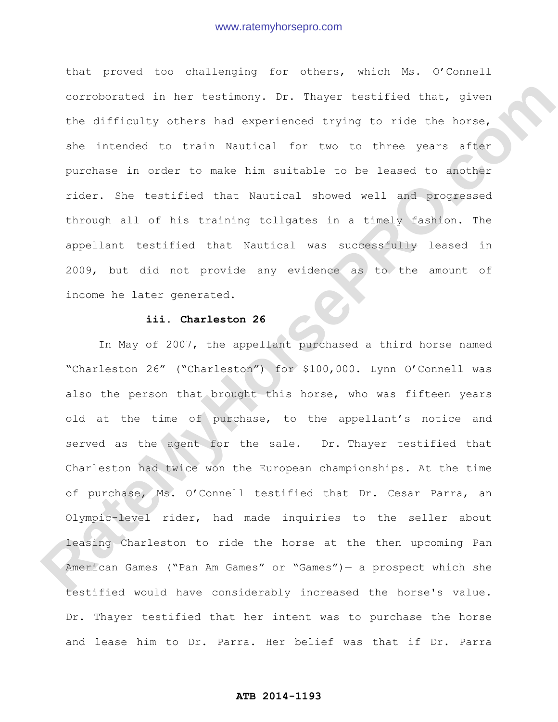that proved too challenging for others, which Ms. O'Connell corroborated in her testimony. Dr. Thayer testified that, given the difficulty others had experienced trying to ride the horse, she intended to train Nautical for two to three years after purchase in order to make him suitable to be leased to another rider. She testified that Nautical showed well and progressed through all of his training tollgates in a timely fashion. The appellant testified that Nautical was successfully leased in 2009, but did not provide any evidence as to the amount of income he later generated.

### **iii. Charleston 26**

In May of 2007, the appellant purchased a third horse named "Charleston 26" ("Charleston") for \$100,000. Lynn O'Connell was also the person that brought this horse, who was fifteen years old at the time of purchase, to the appellant's notice and served as the agent for the sale. Dr. Thayer testified that Charleston had twice won the European championships. At the time of purchase, Ms. O'Connell testified that Dr. Cesar Parra, an Olympic-level rider, had made inquiries to the seller about leasing Charleston to ride the horse at the then upcoming Pan American Games ("Pan Am Games" or "Games")— a prospect which she testified would have considerably increased the horse's value. Dr. Thayer testified that her intent was to purchase the horse and lease him to Dr. Parra. Her belief was that if Dr. Parra corroborated in ter iostimony. Dr. Theyor tostimics that, given<br>the difficulty others had experienced trying to ride the horse,<br>she intended to train xuntical for two to three years after<br>purchase in order to rate the suit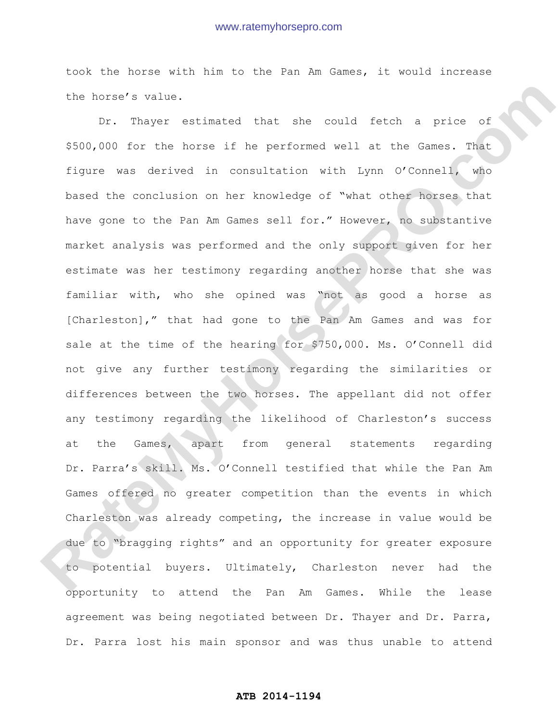took the horse with him to the Pan Am Games, it would increase the horse's value.

Dr. Thayer estimated that she could fetch a price of \$500,000 for the horse if he performed well at the Games. That figure was derived in consultation with Lynn O'Connell, who based the conclusion on her knowledge of "what other horses that have gone to the Pan Am Games sell for." However, no substantive market analysis was performed and the only support given for her estimate was her testimony regarding another horse that she was familiar with, who she opined was "not as good a horse as [Charleston]," that had gone to the Pan Am Games and was for sale at the time of the hearing for \$750,000. Ms. O'Connell did not give any further testimony regarding the similarities or differences between the two horses. The appellant did not offer any testimony regarding the likelihood of Charleston's success at the Games, apart from general statements regarding Dr. Parra's skill. Ms. O'Connell testified that while the Pan Am Games offered no greater competition than the events in which Charleston was already competing, the increase in value would be due to "bragging rights" and an opportunity for greater exposure to potential buyers. Ultimately, Charleston never had the opportunity to attend the Pan Am Games. While the lease agreement was being negotiated between Dr. Thayer and Dr. Parra, Dr. Parra lost his main sponsor and was thus unable to attend the horse's value.<br> **Rate of the horse is a could feed a** price of<br>
\$500,000 for the horse if he performed well at the Games. Chat<br>
Chure was derived in consultation with hyrn O'Connel, when<br>
these dished the conclusion on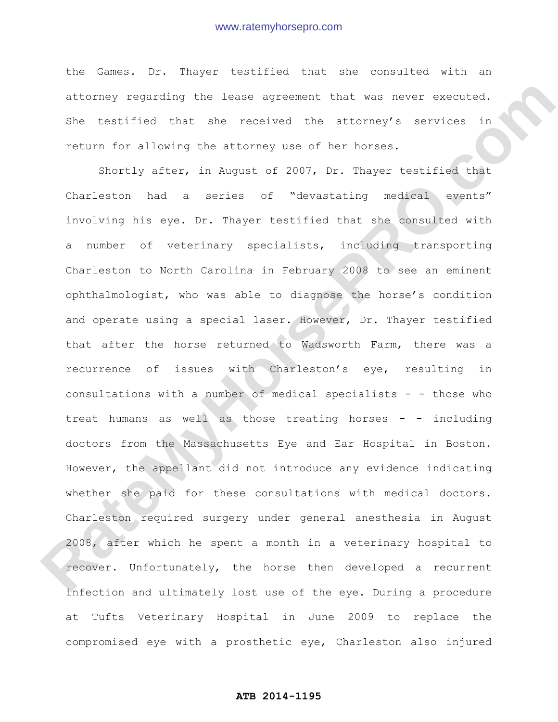the Games. Dr. Thayer testified that she consulted with an attorney regarding the lease agreement that was never executed. She testified that she received the attorney's services in return for allowing the attorney use of her horses.

Shortly after, in August of 2007, Dr. Thayer testified that Charleston had a series of "devastating medical events" involving his eye. Dr. Thayer testified that she consulted with a number of veterinary specialists, including transporting Charleston to North Carolina in February 2008 to see an eminent ophthalmologist, who was able to diagnose the horse's condition and operate using a special laser. However, Dr. Thayer testified that after the horse returned to Wadsworth Farm, there was a recurrence of issues with Charleston's eye, resulting in consultations with a number of medical specialists - - those who treat humans as well as those treating horses - - including doctors from the Massachusetts Eye and Ear Hospital in Boston. However, the appellant did not introduce any evidence indicating whether she paid for these consultations with medical doctors. Charleston required surgery under general anesthesia in August 2008, after which he spent a month in a veterinary hospital to recover. Unfortunately, the horse then developed a recurrent infection and ultimately lost use of the eye. During a procedure at Tufts Veterinary Hospital in June 2009 to replace the compromised eye with a prosthetic eye, Charleston also injured attornay rogarding the tease expected that was never excepted.<br>She testified that she received the attorney's services in<br>return for allowing the atterney use of her horses.<br>Shortly after, in August of 2007, br. Theyer tes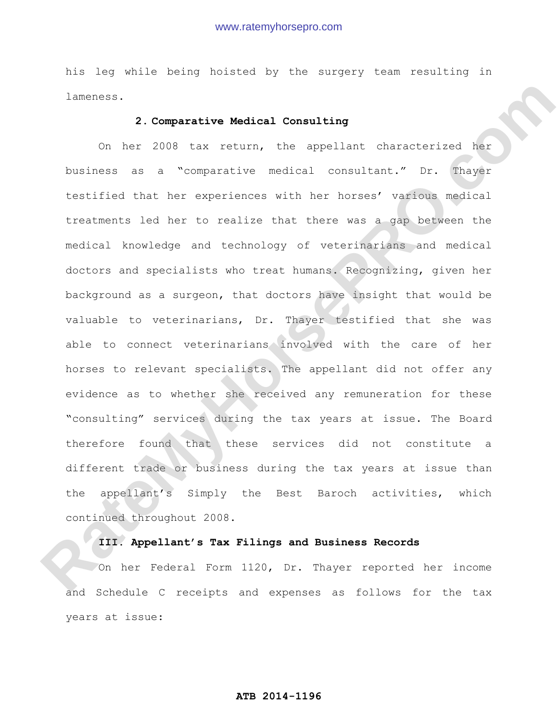his leg while being hoisted by the surgery team resulting in lameness.

## **2. Comparative Medical Consulting**

On her 2008 tax return, the appellant characterized her business as a "comparative medical consultant." Dr. Thayer testified that her experiences with her horses' various medical treatments led her to realize that there was a gap between the medical knowledge and technology of veterinarians and medical doctors and specialists who treat humans. Recognizing, given her background as a surgeon, that doctors have insight that would be valuable to veterinarians, Dr. Thayer testified that she was able to connect veterinarians involved with the care of her horses to relevant specialists. The appellant did not offer any evidence as to whether she received any remuneration for these "consulting" services during the tax years at issue. The Board therefore found that these services did not constitute a different trade or business during the tax years at issue than the appellant's Simply the Best Baroch activities, which continued throughout 2008. **Raternos,**<br> **Raternos,**<br> **Raternos, and a set a "comparative Medical Consulting**<br> **Comparative Medical Consultant,"** Dr. Thange<br> **Raternos as a "comparative necical consultant,"** Dr. Thange<br> **Retardants led her to remize** 

## **III. Appellant's Tax Filings and Business Records**

On her Federal Form 1120, Dr. Thayer reported her income and Schedule C receipts and expenses as follows for the tax years at issue: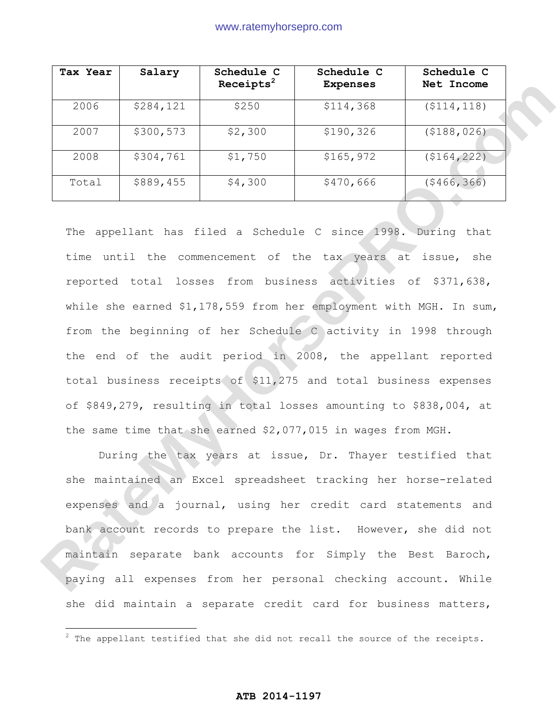| Tax Year | Salary    | Schedule C<br>Receipts <sup>2</sup> | Schedule C<br><b>Expenses</b> | Schedule C<br>Net Income |
|----------|-----------|-------------------------------------|-------------------------------|--------------------------|
| 2006     | \$284,121 | \$250                               | \$114,368                     | ( \$114, 118)            |
| 2007     | \$300,573 | \$2,300                             | \$190,326                     | ( \$188, 026)            |
| 2008     | \$304,761 | \$1,750                             | \$165,972                     | (5164, 222)              |
| Total    | \$889,455 | \$4,300                             | \$470,666                     | (\$466,366)              |

The appellant has filed a Schedule C since 1998. During that time until the commencement of the tax years at issue, she reported total losses from business activities of \$371,638, while she earned \$1,178,559 from her employment with MGH. In sum, from the beginning of her Schedule C activity in 1998 through the end of the audit period in 2008, the appellant reported total business receipts of \$11,275 and total business expenses of \$849,279, resulting in total losses amounting to \$838,004, at the same time that she earned \$2,077,015 in wages from MGH. **Rate 281 11 1253 Rate 281 14.358 Rate 1926 Rate 281 14.358 Rate 281 14.358 Rate 281 14.358 Rate 281 14.358 Rate 281 14.358 Rate 281 14.358 Rate 281 14.358 Rate 281 14.358 Rate 281 14.358 Rate 281 1** 

During the tax years at issue, Dr. Thayer testified that she maintained an Excel spreadsheet tracking her horse-related expenses and a journal, using her credit card statements and bank account records to prepare the list. However, she did not maintain separate bank accounts for Simply the Best Baroch, paying all expenses from her personal checking account. While she did maintain a separate credit card for business matters,

 $\overline{a}$ 

 $2$  The appellant testified that she did not recall the source of the receipts.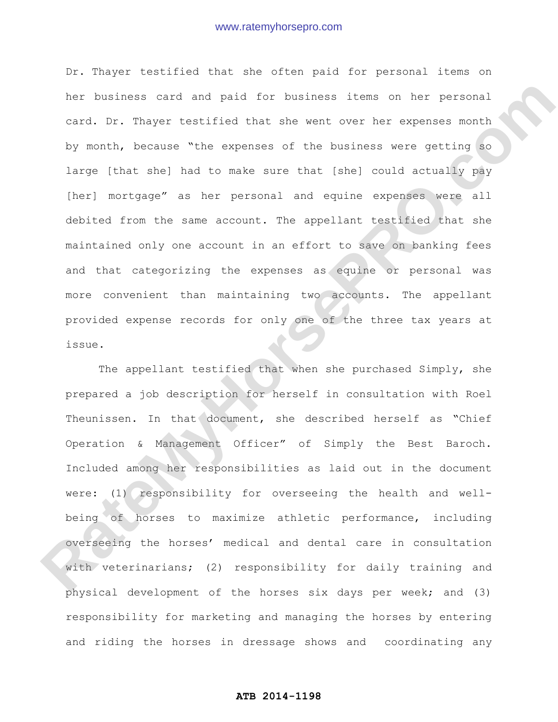Dr. Thayer testified that she often paid for personal items on her business card and paid for business items on her personal card. Dr. Thayer testified that she went over her expenses month by month, because "the expenses of the business were getting so large [that she] had to make sure that [she] could actually pay [her] mortgage" as her personal and equine expenses were all debited from the same account. The appellant testified that she maintained only one account in an effort to save on banking fees and that categorizing the expenses as equine or personal was more convenient than maintaining two accounts. The appellant provided expense records for only one of the three tax years at issue. her business card and paid for business items on her personal<br>card, Dr. Thayer testified that are went over ter expenses month<br>by month, because "the expenses of the business were getting ao<br>large (that she) had to make su

The appellant testified that when she purchased Simply, she prepared a job description for herself in consultation with Roel Theunissen. In that document, she described herself as "Chief Operation & Management Officer" of Simply the Best Baroch. Included among her responsibilities as laid out in the document were: (1) responsibility for overseeing the health and wellbeing of horses to maximize athletic performance, including overseeing the horses' medical and dental care in consultation with veterinarians; (2) responsibility for daily training and physical development of the horses six days per week; and (3) responsibility for marketing and managing the horses by entering and riding the horses in dressage shows and coordinating any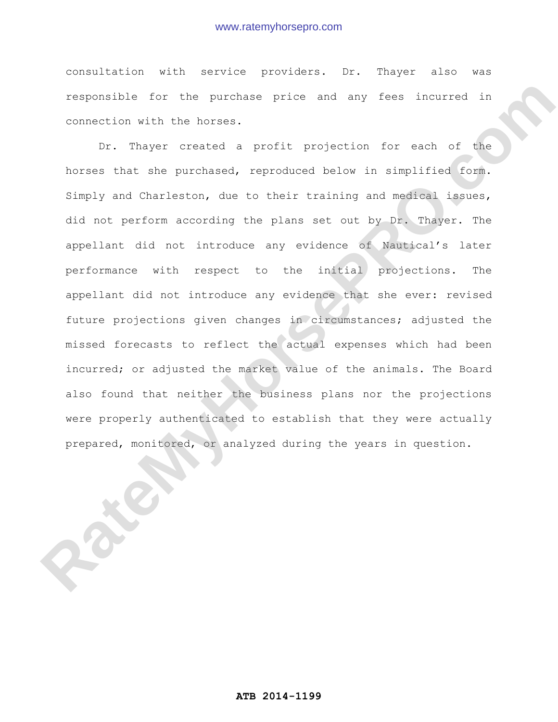consultation with service providers. Dr. Thayer also was responsible for the purchase price and any fees incurred in connection with the horses.

Dr. Thayer created a profit projection for each of the horses that she purchased, reproduced below in simplified form. Simply and Charleston, due to their training and medical issues, did not perform according the plans set out by Dr. Thayer. The appellant did not introduce any evidence of Nautical's later performance with respect to the initial projections. The appellant did not introduce any evidence that she ever: revised future projections given changes in circumstances; adjusted the missed forecasts to reflect the actual expenses which had been incurred; or adjusted the market value of the animals. The Board also found that neither the business plans nor the projections were properly authenticated to establish that they were actually prepared, monitored, or analyzed during the years in question. responsible for the purchase price and any toes incurred in connection with the berses.<br> **Dr.** Thayer created a profit projection for each of the horses that are purchased, reproduced below in implified (or a first) and Ch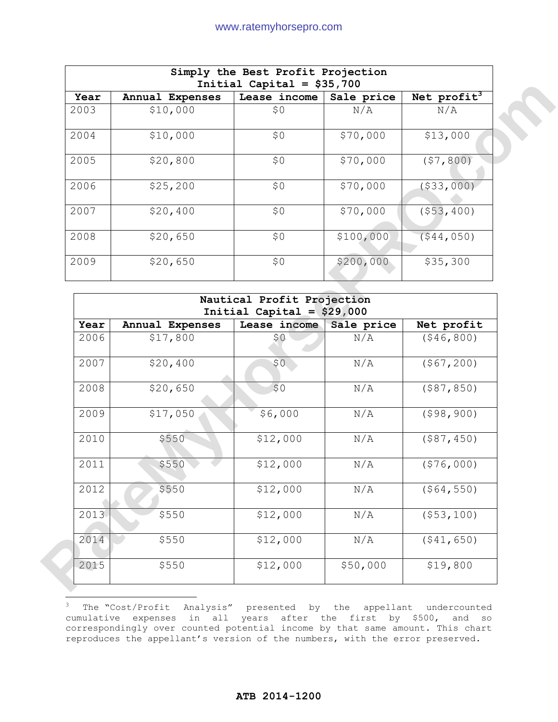| Simply the Best Profit Projection<br>Initial Capital = $$35,700$ |                 |              |            |                         |  |  |
|------------------------------------------------------------------|-----------------|--------------|------------|-------------------------|--|--|
| Year                                                             | Annual Expenses | Lease income | Sale price | Net profit <sup>3</sup> |  |  |
| 2003                                                             | \$10,000        | \$0          | N/A        | N/A                     |  |  |
| 2004                                                             | \$10,000        | \$0\$        | \$70,000   | \$13,000                |  |  |
| 2005                                                             | \$20,800        | \$0          | \$70,000   | (57, 800)               |  |  |
| 2006                                                             | \$25, 200       | \$0          | \$70,000   | ( \$33,000)             |  |  |
| 2007                                                             | \$20,400        | \$0          | \$70,000   | (553, 400)              |  |  |
| 2008                                                             | \$20,650        | \$0          | \$100,000  | (544, 050)              |  |  |
| 2009                                                             | \$20,650        | \$0          | \$200,000  | \$35,300                |  |  |

| Year | Annual Expenses | Lease income                | Sale price | Net profit <sup>3</sup> |
|------|-----------------|-----------------------------|------------|-------------------------|
| 2003 | \$10,000        | \$0                         | N/A        | N/A                     |
| 2004 | \$10,000        | \$0                         | \$70,000   | \$13,000                |
| 2005 | \$20,800        | \$0                         | \$70,000   | (57, 800)               |
| 2006 | \$25,200        | \$0                         | \$70,000   | ( \$33,000)             |
| 2007 | \$20,400        | \$0                         | \$70,000   | ( \$53, 400)            |
| 2008 | \$20,650        | \$0                         | \$100,000  | (544, 050)              |
| 2009 | \$20,650        | \$0                         | \$200,000  | \$35,300                |
|      |                 |                             |            |                         |
|      |                 | Nautical Profit Projection  |            |                         |
|      |                 |                             |            |                         |
|      |                 | Initial Capital = $$29,000$ |            |                         |
| Year | Annual Expenses | Lease income                | Sale price | Net profit              |
| 2006 | \$17,800        | \$0                         | N/A        | ( \$46, 800)            |
| 2007 | \$20,400        | \$0                         | N/A        | (\$67, 200)             |
| 2008 | \$20,650        | \$0                         | N/A        | ( \$87, 850)            |
| 2009 | \$17,050        | \$6,000                     | N/A        | (598, 900)              |
| 2010 | \$550           | \$12,000                    | N/A        | ( \$87, 450)            |
| 2011 | \$550           | \$12,000                    | N/A        | (\$76,000)              |
| 2012 | \$550           | \$12,000                    | N/A        | ( \$64, 550)            |
| 2013 | \$550           | \$12,000                    | N/A        | ( \$53, 100)            |
| 2014 | \$550           | \$12,000                    | N/A        | (541, 650)              |

 $3$  The "Cost/Profit Analysis" presented by the appellant undercounted cumulative expenses in all years after the first by \$500, and so correspondingly over counted potential income by that same amount. This chart reproduces the appellant's version of the numbers, with the error preserved.

 $\overline{a}$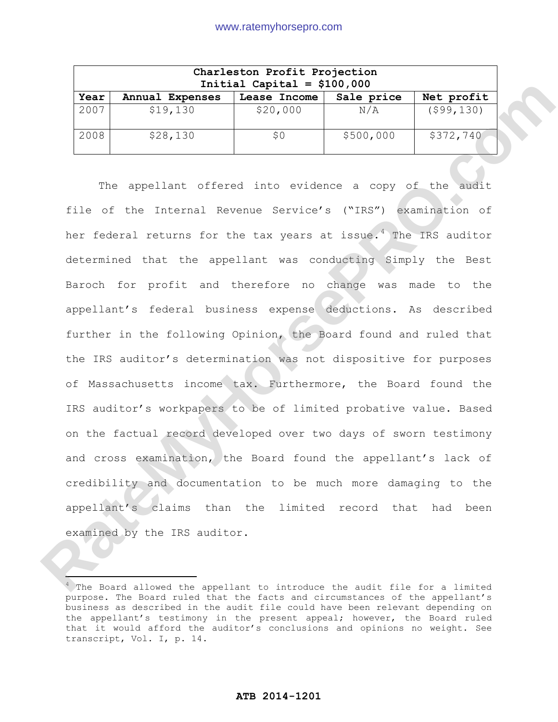| Charleston Profit Projection<br>Initial Capital = $$100,000$ |                 |              |            |               |  |
|--------------------------------------------------------------|-----------------|--------------|------------|---------------|--|
| Year                                                         | Annual Expenses | Lease Income | Sale price | Net profit    |  |
| 2007                                                         | \$19,130        | \$20,000     | N/A        | $($ \$99,130) |  |
| 2008                                                         | \$28,130        | \$0          | \$500,000  | \$372,740     |  |

The appellant offered into evidence a copy of the audit file of the Internal Revenue Service's ("IRS") examination of her federal returns for the tax years at issue.<sup>4</sup> The IRS auditor determined that the appellant was conducting Simply the Best Baroch for profit and therefore no change was made to the appellant's federal business expense deductions. As described further in the following Opinion, the Board found and ruled that the IRS auditor's determination was not dispositive for purposes of Massachusetts income tax. Furthermore, the Board found the IRS auditor's workpapers to be of limited probative value. Based on the factual record developed over two days of sworn testimony and cross examination, the Board found the appellant's lack of credibility and documentation to be much more damaging to the appellant's claims than the limited record that had been examined by the IRS auditor. **Rate:** Annual Expenses Lease Income Sake prior<br>
2007 3-9,130 826,000 800 RATE Street Det Det Caps 1000 8127,720<br>
2008 828,130 88 8500,000 8372,720<br>
2008 828,130 88 8500,000 8372,720<br>
2018 appellant offered into evidence a

ĺ

<sup>&</sup>lt;sup>4</sup> The Board allowed the appellant to introduce the audit file for a limited purpose. The Board ruled that the facts and circumstances of the appellant's business as described in the audit file could have been relevant depending on the appellant's testimony in the present appeal; however, the Board ruled that it would afford the auditor's conclusions and opinions no weight. See transcript, Vol. I, p. 14.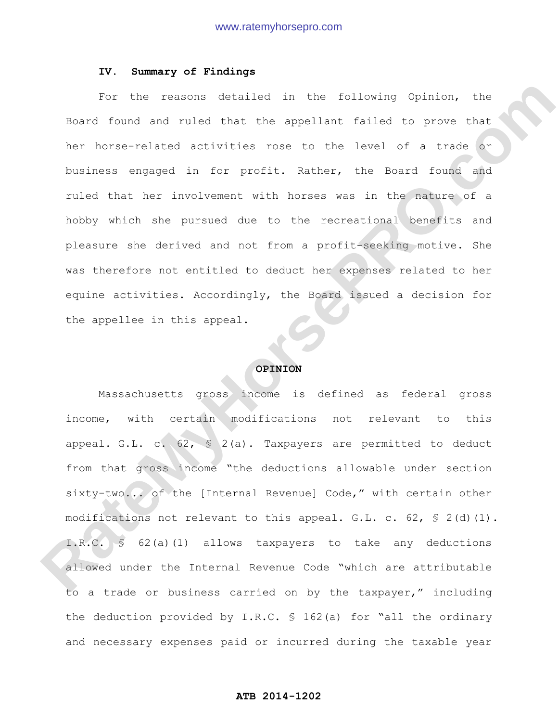### **IV. Summary of Findings**

For the reasons detailed in the following Opinion, the Board found and ruled that the appellant failed to prove that her horse-related activities rose to the level of a trade or business engaged in for profit. Rather, the Board found and ruled that her involvement with horses was in the nature of a hobby which she pursued due to the recreational benefits and pleasure she derived and not from a profit-seeking motive. She was therefore not entitled to deduct her expenses related to her equine activities. Accordingly, the Board issued a decision for the appellee in this appeal. For the reasons detailed in the following Opinion, the<br>Reard found and ruled that the appellant failed to prove that<br>ther horse-related activities rose to the level of a trade or<br>two feasibles engaged in for profil. Rather

### **OPINION**

Massachusetts gross income is defined as federal gross income, with certain modifications not relevant to this appeal. G.L. c.  $62$ ,  $\frac{1}{5}$  2(a). Taxpayers are permitted to deduct from that gross income "the deductions allowable under section sixty-two... of the [Internal Revenue] Code," with certain other modifications not relevant to this appeal. G.L. c. 62,  $\frac{1}{5}$  2(d)(1). I.R.C. § 62(a)(1) allows taxpayers to take any deductions allowed under the Internal Revenue Code "which are attributable to a trade or business carried on by the taxpayer," including the deduction provided by I.R.C. § 162(a) for "all the ordinary and necessary expenses paid or incurred during the taxable year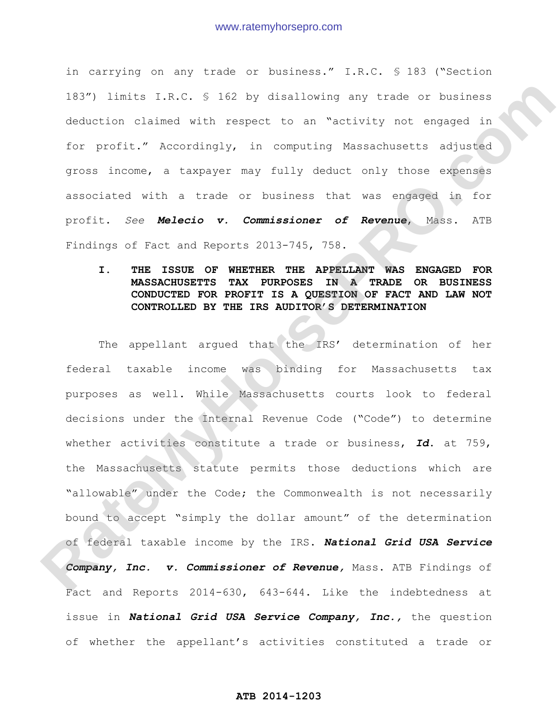in carrying on any trade or business." I.R.C. § 183 ("Section 183") limits I.R.C. § 162 by disallowing any trade or business deduction claimed with respect to an "activity not engaged in for profit." Accordingly, in computing Massachusetts adjusted gross income, a taxpayer may fully deduct only those expenses associated with a trade or business that was engaged in for profit. *See Melecio v. Commissioner of Revenue*, Mass. ATB Findings of Fact and Reports 2013-745, 758.

# **I. THE ISSUE OF WHETHER THE APPELLANT WAS ENGAGED FOR MASSACHUSETTS TAX PURPOSES IN A TRADE OR BUSINESS CONDUCTED FOR PROFIT IS A QUESTION OF FACT AND LAW NOT CONTROLLED BY THE IRS AUDITOR'S DETERMINATION**

The appellant argued that the IRS' determination of her federal taxable income was binding for Massachusetts tax purposes as well. While Massachusetts courts look to federal decisions under the Internal Revenue Code ("Code") to determine whether activities constitute a trade or business, *Id*. at 759, the Massachusetts statute permits those deductions which are "allowable" under the Code; the Commonwealth is not necessarily bound to accept "simply the dollar amount" of the determination of federal taxable income by the IRS. *National Grid USA Service Company, Inc. v. Commissioner of Revenue,* Mass. ATB Findings of Fact and Reports 2014-630, 643-644. Like the indebtedness at issue in *National Grid USA Service Company, Inc.,* the question of whether the appellant's activities constituted a trade or 183°) limits I.R.C. 3 162 by distributing any trads or obsinoss<br>deduction claimed with respect to an "activity not engaged in<br>for profit." Accordingly, in computing Massachusetts adjusted<br>areas income, a taxpover may inliv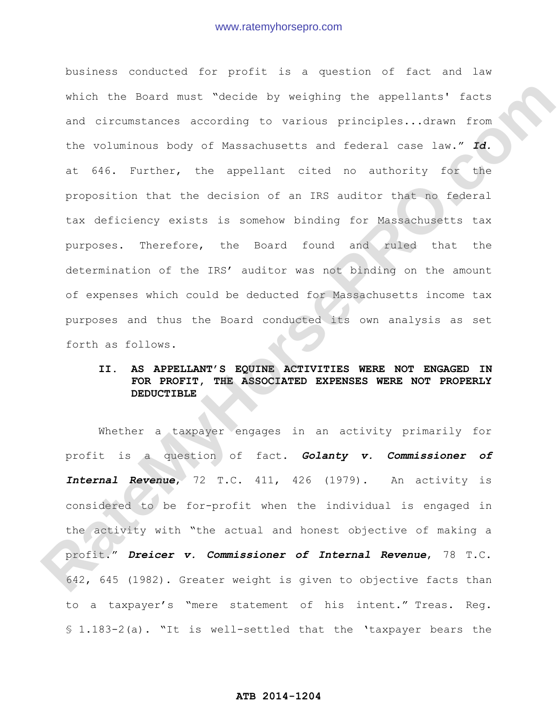business conducted for profit is a question of fact and law which the Board must "decide by weighing the appellants' facts and circumstances according to various principles...drawn from the voluminous body of Massachusetts and federal case law." *Id.*  at 646. Further, the appellant cited no authority for the proposition that the decision of an IRS auditor that no federal tax deficiency exists is somehow binding for Massachusetts tax purposes. Therefore, the Board found and ruled that the determination of the IRS' auditor was not binding on the amount of expenses which could be deducted for Massachusetts income tax purposes and thus the Board conducted its own analysis as set forth as follows. which the Reard must "docideo by weighing the appoilanta" isota<br>and circumstances according to various principles...drawn from<br>the voluntrous body of Massecrussotts and fourtal case." Id.<br>at 546. Turther, the appellar, cli

# **II. AS APPELLANT'S EQUINE ACTIVITIES WERE NOT ENGAGED IN FOR PROFIT, THE ASSOCIATED EXPENSES WERE NOT PROPERLY DEDUCTIBLE**

Whether a taxpayer engages in an activity primarily for profit is a question of fact. *Golanty v. Commissioner of Internal Revenue*, 72 T.C. 411, 426 (1979). An activity is considered to be for-profit when the individual is engaged in the activity with "the actual and honest objective of making a profit." *Dreicer v. Commissioner of Internal Revenue*, 78 T.C. 642, 645 (1982). Greater weight is given to objective facts than to a taxpayer's "mere statement of his intent." Treas. Reg. § 1.183-2(a). "It is well-settled that the 'taxpayer bears the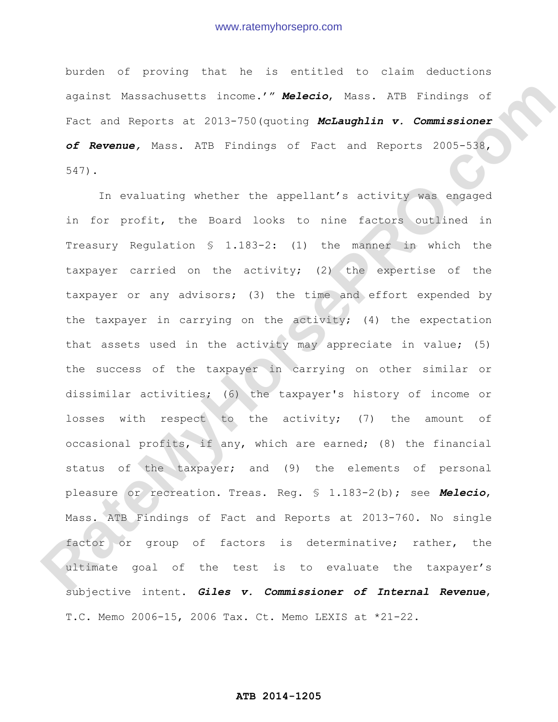burden of proving that he is entitled to claim deductions against Massachusetts income.'" *Melecio*, Mass. ATB Findings of Fact and Reports at 2013-750(quoting *McLaughlin v. Commissioner of Revenue,* Mass. ATB Findings of Fact and Reports 2005-538, 547).

In evaluating whether the appellant's activity was engaged in for profit, the Board looks to nine factors outlined in Treasury Regulation § 1.183-2: (1) the manner in which the taxpayer carried on the activity; (2) the expertise of the taxpayer or any advisors; (3) the time and effort expended by the taxpayer in carrying on the activity; (4) the expectation that assets used in the activity may appreciate in value; (5) the success of the taxpayer in carrying on other similar or dissimilar activities; (6) the taxpayer's history of income or losses with respect to the activity; (7) the amount of occasional profits, if any, which are earned; (8) the financial status of the taxpayer; and (9) the elements of personal pleasure or recreation. Treas. Reg. § 1.183-2(b); see *Melecio*, Mass. ATB Findings of Fact and Reports at 2013-760. No single factor or group of factors is determinative; rather, the ultimate goal of the test is to evaluate the taxpayer's subjective intent. *Giles v. Commissioner of Internal Revenue*, T.C. Memo 2006-15, 2006 Tax. Ct. Memo LEXIS at \*21-22. Againat Massachusetts income."" **Melecio**, Mass. ATS Findings of<br>ract and Reports at 2013-750 (quoring McLaughlin v. Commissioner<br>of Revenue, Mess. ATR Findings of Soci end Reports 2005-538,<br> $S^{(2)}$ ),<br>The evaluating whethe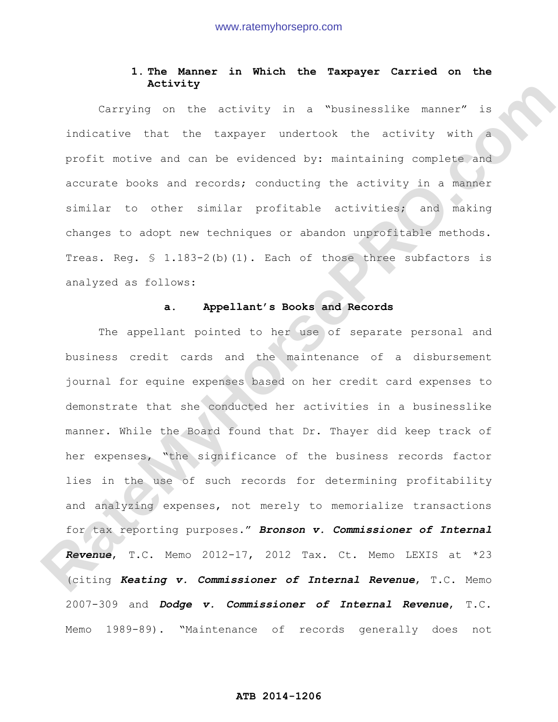# **1. The Manner in Which the Taxpayer Carried on the Activity**

Carrying on the activity in a "businesslike manner" is indicative that the taxpayer undertook the activity with a profit motive and can be evidenced by: maintaining complete and accurate books and records; conducting the activity in a manner similar to other similar profitable activities; and making changes to adopt new techniques or abandon unprofitable methods. Treas. Reg. § 1.183-2(b)(1). Each of those three subfactors is analyzed as follows:

## **a. Appellant's Books and Records**

The appellant pointed to her use of separate personal and business credit cards and the maintenance of a disbursement journal for equine expenses based on her credit card expenses to demonstrate that she conducted her activities in a businesslike manner. While the Board found that Dr. Thayer did keep track of her expenses, "the significance of the business records factor lies in the use of such records for determining profitability and analyzing expenses, not merely to memorialize transactions for tax reporting purposes." *Bronson v. Commissioner of Internal Revenue*, T.C. Memo 2012-17, 2012 Tax. Ct. Memo LEXIS at \*23 (citing *Keating v. Commissioner of Internal Revenue*, T.C. Memo 2007-309 and *Dodge v. Commissioner of Internal Revenue*, T.C. Memo 1989-89). "Maintenance of records generally does not **Rativity** in a "businesslike namner" is<br>indicative that the capyor undertook the activity with<br>profit motive and can be evidenced by: maintaining complete and<br>accurate books and records; conducting the activity in a namne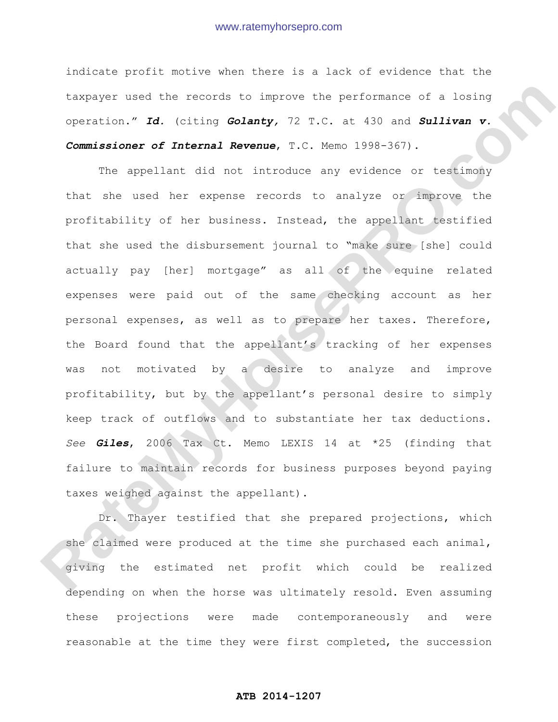indicate profit motive when there is a lack of evidence that the taxpayer used the records to improve the performance of a losing operation." *Id.* (citing *Golanty,* 72 T.C. at 430 and *Sullivan v. Commissioner of Internal Revenue*, T.C. Memo 1998-367).

The appellant did not introduce any evidence or testimony that she used her expense records to analyze or improve the profitability of her business. Instead, the appellant testified that she used the disbursement journal to "make sure [she] could actually pay [her] mortgage" as all of the equine related expenses were paid out of the same checking account as her personal expenses, as well as to prepare her taxes. Therefore, the Board found that the appellant's tracking of her expenses was not motivated by a desire to analyze and improve profitability, but by the appellant's personal desire to simply keep track of outflows and to substantiate her tax deductions. *See Giles*, 2006 Tax Ct. Memo LEXIS 14 at \*25 (finding that failure to maintain records for business purposes beyond paying taxes weighed against the appellant). dampayor used the necessarile improve the performance of a iosing<br>operation." Id. (citing Golanty, 72 r.C. at 300 and Sullivan v.<br>Commissioner of Internal Revenue, T.C. Newe 1988-367).<br>The epopllant did not introduce any e

Dr. Thayer testified that she prepared projections, which she claimed were produced at the time she purchased each animal, giving the estimated net profit which could be realized depending on when the horse was ultimately resold. Even assuming these projections were made contemporaneously and were reasonable at the time they were first completed, the succession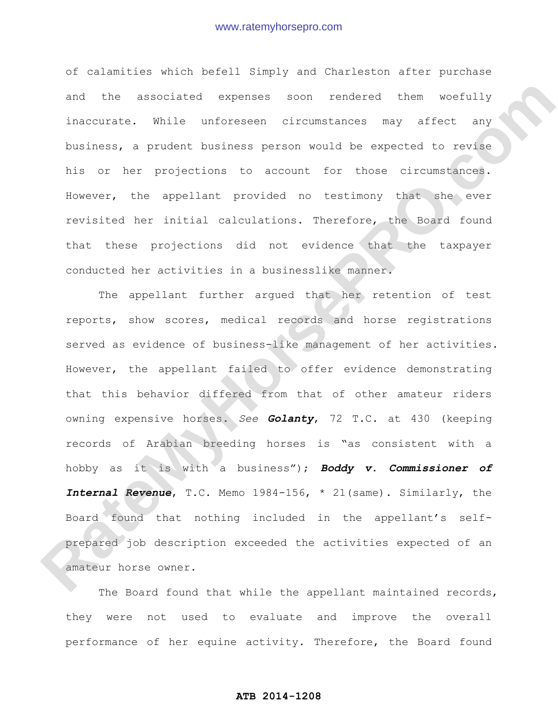of calamities which befell Simply and Charleston after purchase and the associated expenses soon rendered them woefully inaccurate. While unforeseen circumstances may affect any business, a prudent business person would be expected to revise his or her projections to account for those circumstances. However, the appellant provided no testimony that she ever revisited her initial calculations. Therefore, the Board found that these projections did not evidence that the taxpayer conducted her activities in a businesslike manner.

The appellant further argued that her retention of test reports, show scores, medical records and horse registrations served as evidence of business-like management of her activities. However, the appellant failed to offer evidence demonstrating that this behavior differed from that of other amateur riders owning expensive horses. *See Golanty*, 72 T.C. at 430 (keeping records of Arabian breeding horses is "as consistent with a hobby as it is with a business"); *Boddy v. Commissioner of Internal Revenue*, T.C. Memo 1984-156, \* 21(same). Similarly, the Board found that nothing included in the appellant's selfprepared job description exceeded the activities expected of an amateur horse owner. and the associated exponses soon rendered them worfully<br>inaccurate. While unforeseen circumstances may affect any<br>business, a prodet business person would be expected to revise<br>his or her projections to account for those c

The Board found that while the appellant maintained records, they were not used to evaluate and improve the overall performance of her equine activity. Therefore, the Board found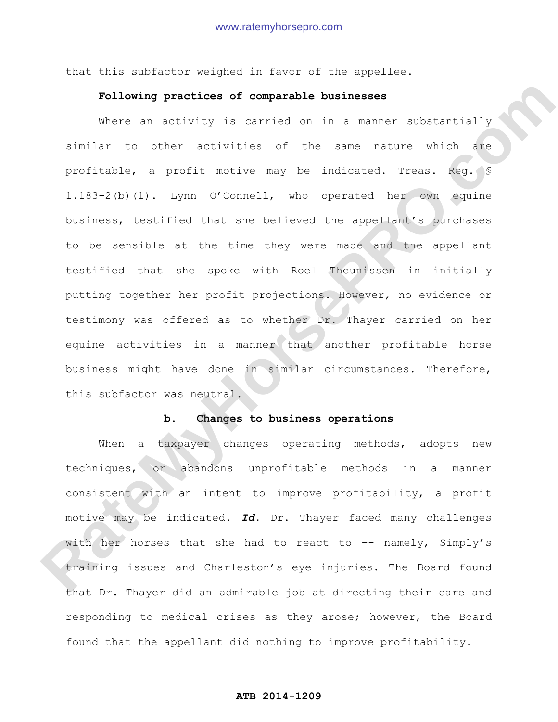that this subfactor weighed in favor of the appellee.

## **Following practices of comparable businesses**

Where an activity is carried on in a manner substantially similar to other activities of the same nature which are profitable, a profit motive may be indicated. Treas. Reg. § 1.183-2(b)(1). Lynn O'Connell, who operated her own equine business, testified that she believed the appellant's purchases to be sensible at the time they were made and the appellant testified that she spoke with Roel Theunissen in initially putting together her profit projections. However, no evidence or testimony was offered as to whether Dr. Thayer carried on her equine activities in a manner that another profitable horse business might have done in similar circumstances. Therefore, this subfactor was neutral. **Pollowing practices of comparable businesses**<br>
Where an activity is carried on in a menner substantially<br>
similar to other activities of the same nature which are<br>
profitable, a profit which may be indicated. Treas. Seq.

### **b. Changes to business operations**

When a taxpayer changes operating methods, adopts new techniques, or abandons unprofitable methods in a manner consistent with an intent to improve profitability, a profit motive may be indicated. *Id.* Dr. Thayer faced many challenges with her horses that she had to react to  $-$  namely, Simply's training issues and Charleston's eye injuries. The Board found that Dr. Thayer did an admirable job at directing their care and responding to medical crises as they arose; however, the Board found that the appellant did nothing to improve profitability.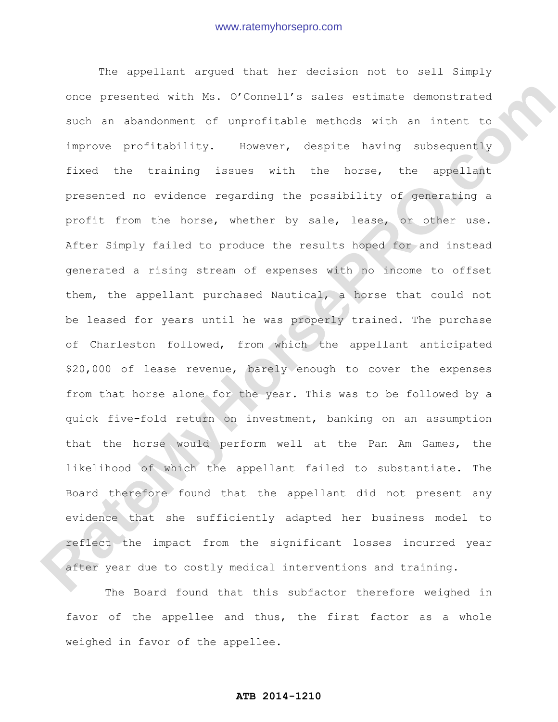The appellant argued that her decision not to sell Simply once presented with Ms. O'Connell's sales estimate demonstrated such an abandonment of unprofitable methods with an intent to improve profitability. However, despite having subsequently fixed the training issues with the horse, the appellant presented no evidence regarding the possibility of generating a profit from the horse, whether by sale, lease, or other use. After Simply failed to produce the results hoped for and instead generated a rising stream of expenses with no income to offset them, the appellant purchased Nautical, a horse that could not be leased for years until he was properly trained. The purchase of Charleston followed, from which the appellant anticipated \$20,000 of lease revenue, barely enough to cover the expenses from that horse alone for the year. This was to be followed by a quick five-fold return on investment, banking on an assumption that the horse would perform well at the Pan Am Games, the likelihood of which the appellant failed to substantiate. The Board therefore found that the appellant did not present any evidence that she sufficiently adapted her business model to reflect the impact from the significant losses incurred year after year due to costly medical interventions and training. once presented with Me. O'Connel's sales estimate demonstrated<br>such an abandonment of unprofitable methods with an intert to<br>improve profitability. However, despite having subsequently<br>increased the training issues with th

The Board found that this subfactor therefore weighed in favor of the appellee and thus, the first factor as a whole weighed in favor of the appellee.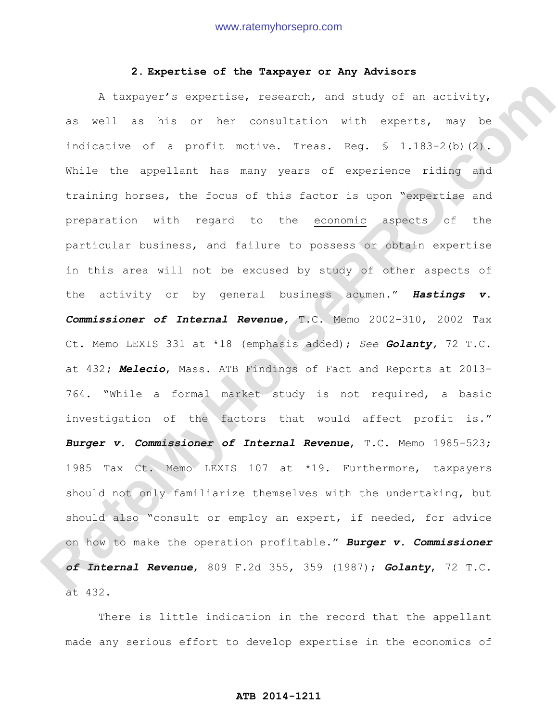## **2. Expertise of the Taxpayer or Any Advisors**

A taxpayer's expertise, research, and study of an activity, as well as his or her consultation with experts, may be indicative of a profit motive. Treas. Reg. § 1.183-2(b)(2). While the appellant has many years of experience riding and training horses, the focus of this factor is upon "expertise and preparation with regard to the economic aspects of the particular business, and failure to possess or obtain expertise in this area will not be excused by study of other aspects of the activity or by general business acumen." *Hastings v. Commissioner of Internal Revenue,* T.C. Memo 2002-310, 2002 Tax Ct. Memo LEXIS 331 at \*18 (emphasis added); *See Golanty,* 72 T.C. at 432**;** *Melecio*, Mass. ATB Findings of Fact and Reports at 2013- 764. "While a formal market study is not required, a basic investigation of the factors that would affect profit is." *Burger v. Commissioner of Internal Revenue*, T.C. Memo 1985-523; 1985 Tax Ct. Memo LEXIS 107 at \*19. Furthermore, taxpayers should not only familiarize themselves with the undertaking, but should also "consult or employ an expert, if needed, for advice on how to make the operation profitable." *Burger v. Commissioner of Internal Revenue*, 809 F.2d 355, 359 (1987); *Golanty*, 72 T.C. at 432. A taxpayer's oxpertise, research, and study of an activity.<br>
As well as his or her consultation with experts, may be<br>
indicative of a prefit motive. Treas. Reg. 6 1.183-2(b)(2).<br>
While the appellant has many years of exper

There is little indication in the record that the appellant made any serious effort to develop expertise in the economics of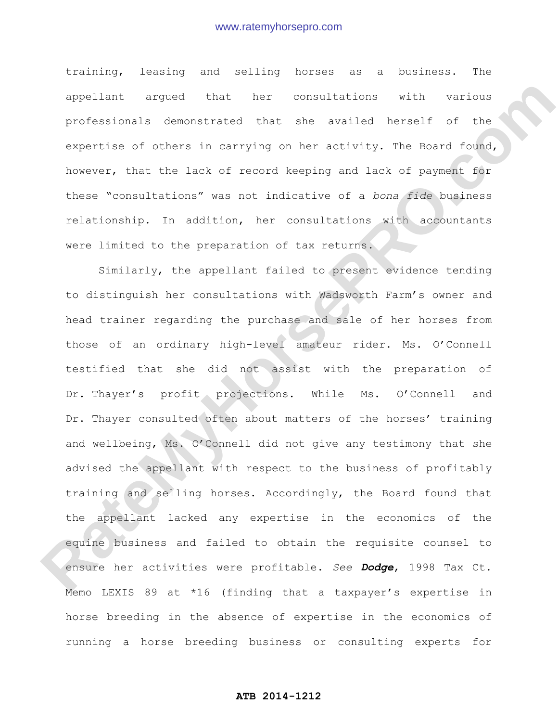training, leasing and selling horses as a business. The appellant argued that her consultations with various professionals demonstrated that she availed herself of the expertise of others in carrying on her activity. The Board found, however, that the lack of record keeping and lack of payment for these "consultations" was not indicative of a *bona fide* business relationship. In addition, her consultations with accountants were limited to the preparation of tax returns.

Similarly, the appellant failed to present evidence tending to distinguish her consultations with Wadsworth Farm's owner and head trainer regarding the purchase and sale of her horses from those of an ordinary high-level amateur rider. Ms. O'Connell testified that she did not assist with the preparation of Dr. Thayer's profit projections. While Ms. O'Connell and Dr. Thayer consulted often about matters of the horses' training and wellbeing, Ms. O'Connell did not give any testimony that she advised the appellant with respect to the business of profitably training and selling horses. Accordingly, the Board found that the appellant lacked any expertise in the economics of the equine business and failed to obtain the requisite counsel to ensure her activities were profitable. *See Dodge*, 1998 Tax Ct. Memo LEXIS 89 at \*16 (finding that a taxpayer's expertise in horse breeding in the absence of expertise in the economics of running a horse breeding business or consulting experts for appelient argued that see consultations with various<br>professionals demonstrated that see availed herself of the<br>experime of others in carrying on her activity. The sound found,<br>however, that the lack of record keeping and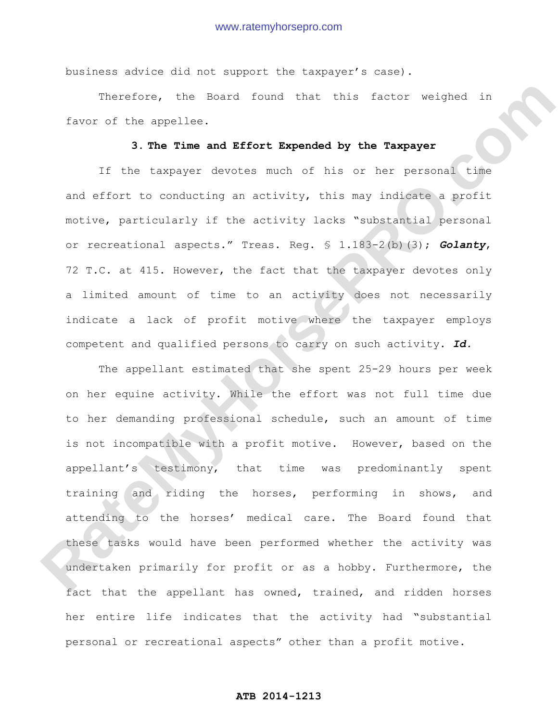business advice did not support the taxpayer's case).

Therefore, the Board found that this factor weighed in favor of the appellee.

# **3. The Time and Effort Expended by the Taxpayer**

If the taxpayer devotes much of his or her personal time and effort to conducting an activity, this may indicate a profit motive, particularly if the activity lacks "substantial personal or recreational aspects." Treas. Reg. § 1.183-2(b)(3); *Golanty*, 72 T.C. at 415. However, the fact that the taxpayer devotes only a limited amount of time to an activity does not necessarily indicate a lack of profit motive where the taxpayer employs competent and qualified persons to carry on such activity. *Id.*

The appellant estimated that she spent 25-29 hours per week on her equine activity. While the effort was not full time due to her demanding professional schedule, such an amount of time is not incompatible with a profit motive. However, based on the appellant's testimony, that time was predominantly spent training and riding the horses, performing in shows, and attending to the horses' medical care. The Board found that these tasks would have been performed whether the activity was undertaken primarily for profit or as a hobby. Furthermore, the fact that the appellant has owned, trained, and ridden horses her entire life indicates that the activity had "substantial personal or recreational aspects" other than a profit motive. Therefore, the Board found Cast this fector woldphot in<br> **Rate of the appellee.**<br> **3. The Time and Effort Expended by the Taxpayer**<br>
Ti the Lexnayar devotes such of his or her parsonal Like<br>
and effort to conducting an act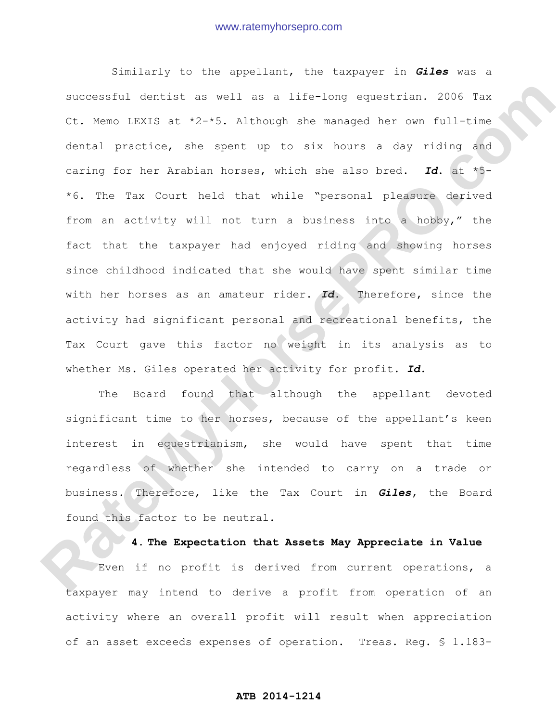Similarly to the appellant, the taxpayer in *Giles* was a successful dentist as well as a life-long equestrian. 2006 Tax Ct. Memo LEXIS at \*2-\*5. Although she managed her own full-time dental practice, she spent up to six hours a day riding and caring for her Arabian horses, which she also bred. *Id*. at \*5- \*6. The Tax Court held that while "personal pleasure derived from an activity will not turn a business into a hobby," the fact that the taxpayer had enjoyed riding and showing horses since childhood indicated that she would have spent similar time with her horses as an amateur rider. *Id.* Therefore, since the activity had significant personal and recreational benefits, the Tax Court gave this factor no weight in its analysis as to whether Ms. Giles operated her activity for profit. *Id.* auccessial dentities a woll as a life-long oquestrian. 2006 7ax<br>Ct. Meno IENYS at  $t2-5$ . Although she ranaged her owo full-time<br>dental practice, she spent up to six hours a day riding and<br>caring for her Arabian horses, wh

The Board found that although the appellant devoted significant time to her horses, because of the appellant's keen interest in equestrianism, she would have spent that time regardless of whether she intended to carry on a trade or business. Therefore, like the Tax Court in *Giles***,** the Board found this factor to be neutral.

# **4. The Expectation that Assets May Appreciate in Value**

Even if no profit is derived from current operations, a taxpayer may intend to derive a profit from operation of an activity where an overall profit will result when appreciation of an asset exceeds expenses of operation. Treas. Reg. § 1.183-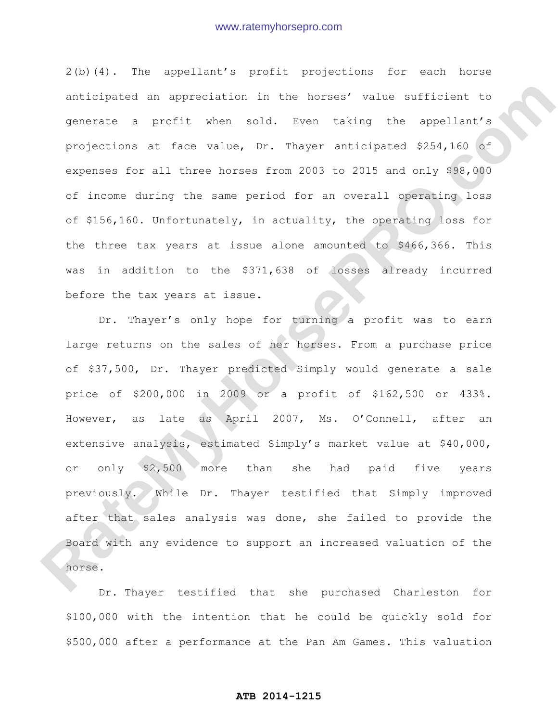2(b)(4). The appellant's profit projections for each horse anticipated an appreciation in the horses' value sufficient to generate a profit when sold. Even taking the appellant's projections at face value, Dr. Thayer anticipated \$254,160 of expenses for all three horses from 2003 to 2015 and only \$98,000 of income during the same period for an overall operating loss of \$156,160. Unfortunately, in actuality, the operating loss for the three tax years at issue alone amounted to \$466,366. This was in addition to the \$371,638 of losses already incurred before the tax years at issue.

Dr. Thayer's only hope for turning a profit was to earn large returns on the sales of her horses. From a purchase price of \$37,500, Dr. Thayer predicted Simply would generate a sale price of \$200,000 in 2009 or a profit of \$162,500 or 433%. However, as late as April 2007, Ms. O'Connell, after an extensive analysis, estimated Simply's market value at \$40,000, or only \$2,500 more than she had paid five years previously. While Dr. Thayer testified that Simply improved after that sales analysis was done, she failed to provide the Board with any evidence to support an increased valuation of the horse. anticipated an approciation in the berses' value attricient to<br>penerate a profit when sold. Twen taking the appellant's<br>projections at face value, Dr. Fager anticipated 2254,160 of<br>expresses for all three horses from 2003

Dr. Thayer testified that she purchased Charleston for \$100,000 with the intention that he could be quickly sold for \$500,000 after a performance at the Pan Am Games. This valuation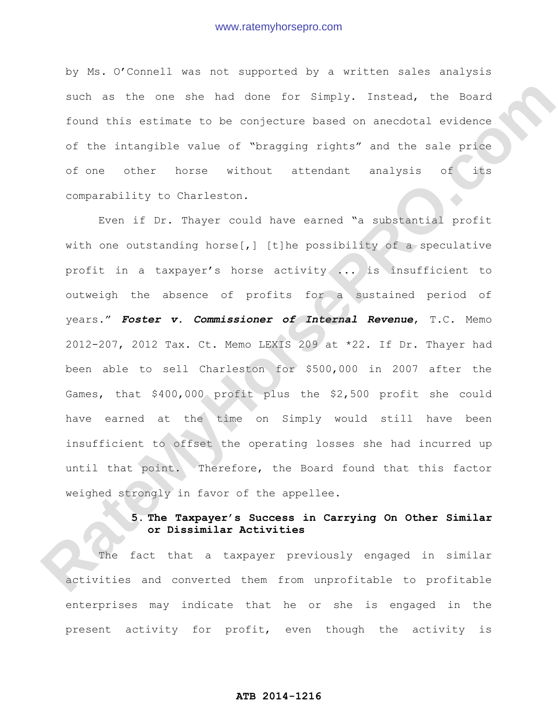by Ms. O'Connell was not supported by a written sales analysis such as the one she had done for Simply. Instead, the Board found this estimate to be conjecture based on anecdotal evidence of the intangible value of "bragging rights" and the sale price of one other horse without attendant analysis of its comparability to Charleston.

Even if Dr. Thayer could have earned "a substantial profit with one outstanding horse[,] [t]he possibility of a speculative profit in a taxpayer's horse activity ... is insufficient to outweigh the absence of profits for a sustained period of years." *Foster v. Commissioner of Internal Revenue*, T.C. Memo 2012-207, 2012 Tax. Ct. Memo LEXIS 209 at \*22. If Dr. Thayer had been able to sell Charleston for \$500,000 in 2007 after the Games, that \$400,000 profit plus the \$2,500 profit she could have earned at the time on Simply would still have been insufficient to offset the operating losses she had incurred up until that point. Therefore, the Board found that this factor weighed strongly in favor of the appellee. such as the one sho has dono for Simply. Instead, the Board<br>Cound this estimate to be complecture based on anecdotal evidence<br>of the intemptibe value of "pragging rights" and the sale prime<br>of one other nonse without atten

## **5. The Taxpayer's Success in Carrying On Other Similar or Dissimilar Activities**

The fact that a taxpayer previously engaged in similar activities and converted them from unprofitable to profitable enterprises may indicate that he or she is engaged in the present activity for profit, even though the activity is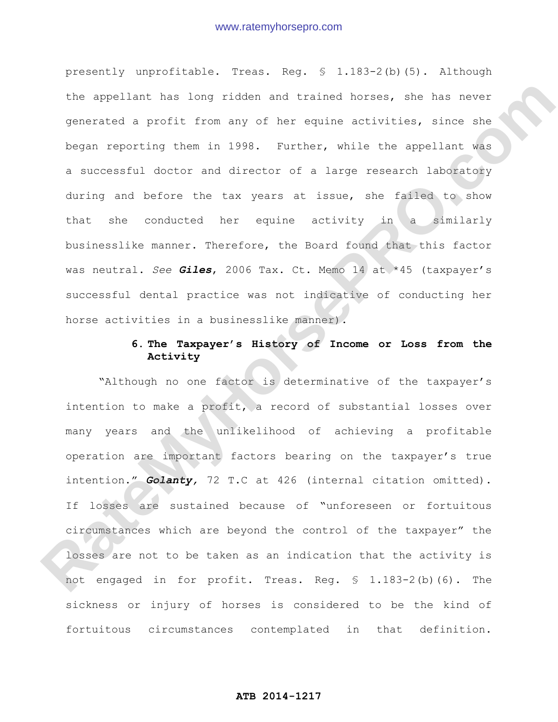presently unprofitable. Treas. Reg. § 1.183-2(b)(5). Although the appellant has long ridden and trained horses, she has never generated a profit from any of her equine activities, since she began reporting them in 1998. Further, while the appellant was a successful doctor and director of a large research laboratory during and before the tax years at issue, she failed to show that she conducted her equine activity in a similarly businesslike manner. Therefore, the Board found that this factor was neutral. *See Giles*, 2006 Tax. Ct. Memo 14 at \*45 (taxpayer's successful dental practice was not indicative of conducting her horse activities in a businesslike manner). the appoitant has long ridden and trained horses, she has never<br>penerated a profit from any of her equine activities, since she<br>**Regan reporting them in 1938.** Purther, while the appellant was<br>a successful doctor and direc

# **6. The Taxpayer's History of Income or Loss from the Activity**

"Although no one factor is determinative of the taxpayer's intention to make a profit, a record of substantial losses over many years and the unlikelihood of achieving a profitable operation are important factors bearing on the taxpayer's true intention." *Golanty,* 72 T.C at 426 (internal citation omitted). If losses are sustained because of "unforeseen or fortuitous circumstances which are beyond the control of the taxpayer" the losses are not to be taken as an indication that the activity is not engaged in for profit. Treas. Reg. § 1.183-2(b)(6). The sickness or injury of horses is considered to be the kind of fortuitous circumstances contemplated in that definition.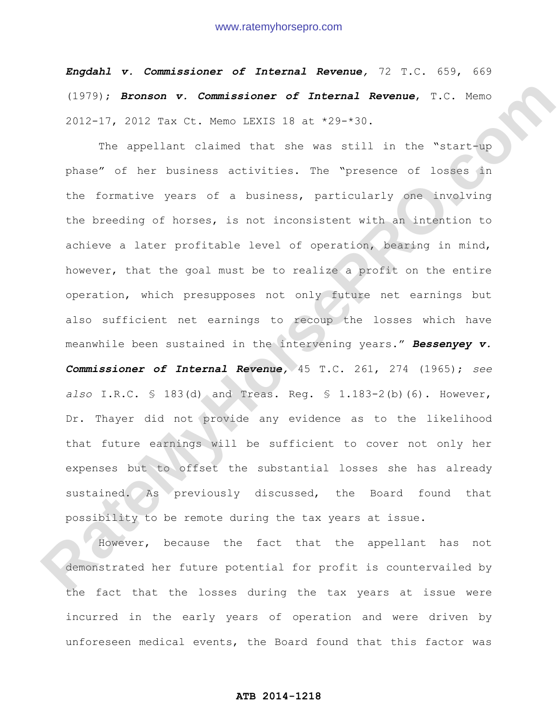*Engdahl v. Commissioner of Internal Revenue,* 72 T.C. 659, 669 (1979); *Bronson v. Commissioner of Internal Revenue*, T.C. Memo 2012-17, 2012 Tax Ct. Memo LEXIS 18 at \*29-\*30.

The appellant claimed that she was still in the "start-up phase" of her business activities. The "presence of losses in the formative years of a business, particularly one involving the breeding of horses, is not inconsistent with an intention to achieve a later profitable level of operation, bearing in mind, however, that the goal must be to realize a profit on the entire operation, which presupposes not only future net earnings but also sufficient net earnings to recoup the losses which have meanwhile been sustained in the intervening years." *Bessenyey v. Commissioner of Internal Revenue,* 45 T.C. 261, 274 (1965); *see also* I.R.C. § 183(d) and Treas. Reg. § 1.183-2(b)(6). However, Dr. Thayer did not provide any evidence as to the likelihood that future earnings will be sufficient to cover not only her expenses but to offset the substantial losses she has already sustained. As previously discussed, the Board found that possibility to be remote during the tax years at issue. (1979)) **Bronson v. Commissioner of Internal Revenue,** T.C. Meno<br>
2012-17, 2012 Tax Ct. Meno IRNIS 18 at 429-430.<br>
The spellant claimed that she was still in the "starring<br>
phase" of nor business activities. The "presence

However, because the fact that the appellant has not demonstrated her future potential for profit is countervailed by the fact that the losses during the tax years at issue were incurred in the early years of operation and were driven by unforeseen medical events, the Board found that this factor was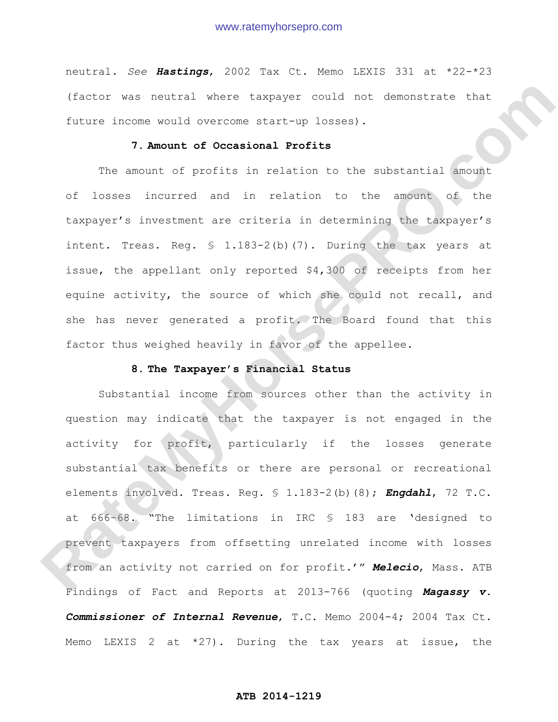neutral. *See Hastings*, 2002 Tax Ct. Memo LEXIS 331 at \*22-\*23 (factor was neutral where taxpayer could not demonstrate that future income would overcome start-up losses).

## **7. Amount of Occasional Profits**

The amount of profits in relation to the substantial amount of losses incurred and in relation to the amount of the taxpayer's investment are criteria in determining the taxpayer's intent. Treas. Reg. § 1.183-2(b)(7). During the tax years at issue, the appellant only reported \$4,300 of receipts from her equine activity, the source of which she could not recall, and she has never generated a profit. The Board found that this factor thus weighed heavily in favor of the appellee.

### **8. The Taxpayer's Financial Status**

Substantial income from sources other than the activity in question may indicate that the taxpayer is not engaged in the activity for profit, particularly if the losses generate substantial tax benefits or there are personal or recreational elements involved. Treas. Reg. § 1.183-2(b)(8); *Engdahl*, 72 T.C. at 666–68. "The limitations in IRC § 183 are 'designed to prevent taxpayers from offsetting unrelated income with losses from an activity not carried on for profit.'" *Melecio*, Mass. ATB Findings of Fact and Reports at 2013-766 (quoting *Magassy v. Commissioner of Internal Revenue*, T.C. Memo 2004-4; 2004 Tax Ct. Memo LEXIS 2 at  $*27$ ). During the tax years at issue, the (Tactor was routed where taxpayer could not demonstrate that<br>
future income sould overcome start-un losses).<br> **7. Amount of Occasional Profits**<br>
The amount of socialism and in relation to the amount of the<br>
taxpayer's inve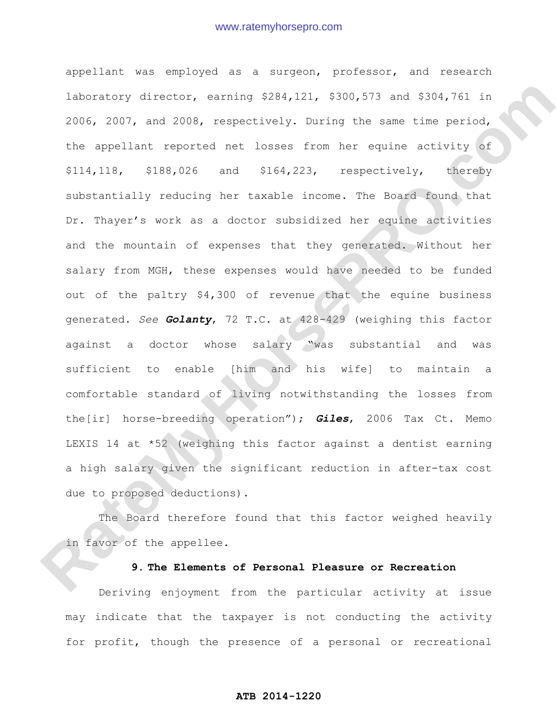appellant was employed as a surgeon, professor, and research laboratory director, earning \$284,121, \$300,573 and \$304,761 in 2006, 2007, and 2008, respectively. During the same time period, the appellant reported net losses from her equine activity of \$114,118, \$188,026 and \$164,223, respectively, thereby substantially reducing her taxable income. The Board found that Dr. Thayer's work as a doctor subsidized her equine activities and the mountain of expenses that they generated. Without her salary from MGH, these expenses would have needed to be funded out of the paltry \$4,300 of revenue that the equine business generated. *See Golanty*, 72 T.C. at 428-429 (weighing this factor against a doctor whose salary "was substantial and was sufficient to enable [him and his wife] to maintain a comfortable standard of living notwithstanding the losses from the[ir] horse-breeding operation"); *Giles*, 2006 Tax Ct. Memo LEXIS 14 at \*52 (weighing this factor against a dentist earning a high salary given the significant reduction in after-tax cost due to proposed deductions). Rate catery director, carning \$284,121, \$330,573 and \$304,761 in 2006, 2007, and 2008, researctively, furing the same sime pariod, the appellant reported net losses from her equine activity of \$114,118, \$188,026 and \$164,2

The Board therefore found that this factor weighed heavily in favor of the appellee.

## **9. The Elements of Personal Pleasure or Recreation**

Deriving enjoyment from the particular activity at issue may indicate that the taxpayer is not conducting the activity for profit, though the presence of a personal or recreational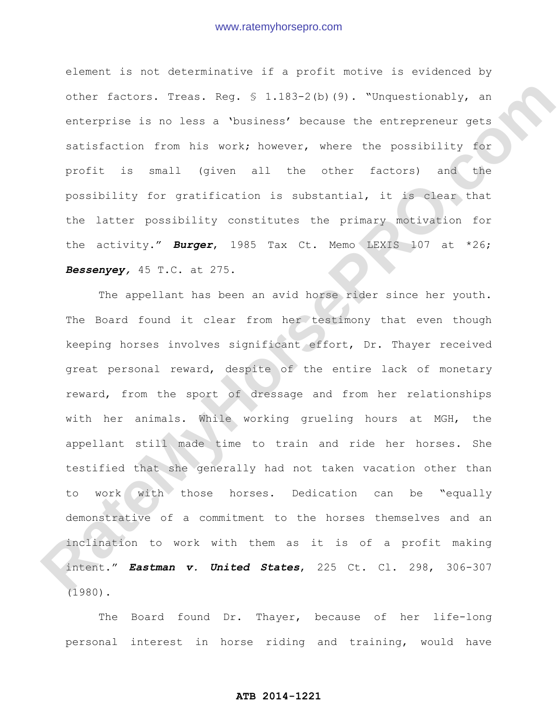element is not determinative if a profit motive is evidenced by other factors. Treas. Reg. § 1.183-2(b)(9). "Unquestionably, an enterprise is no less a 'business' because the entrepreneur gets satisfaction from his work; however, where the possibility for profit is small (given all the other factors) and the possibility for gratification is substantial, it is clear that the latter possibility constitutes the primary motivation for the activity." *Burger*, 1985 Tax Ct. Memo LEXIS 107 at \*26; *Bessenyey,* 45 T.C. at 275.

The appellant has been an avid horse rider since her youth. The Board found it clear from her testimony that even though keeping horses involves significant effort, Dr. Thayer received great personal reward, despite of the entire lack of monetary reward, from the sport of dressage and from her relationships with her animals. While working grueling hours at MGH, the appellant still made time to train and ride her horses. She testified that she generally had not taken vacation other than to work with those horses. Dedication can be "equally demonstrative of a commitment to the horses themselves and an inclination to work with them as it is of a profit making intent." *Eastman v. United States*, 225 Ct. Cl. 298, 306-307 (1980). other isotors, 7:00s. Rog, 0 1.183-2(b)(9), "Orquestionabiy, an enterprise is no less a 'business' because the entrepreneur gets statisfaction from his work; however, where the possibility for profit, 's small (given all t

The Board found Dr. Thayer, because of her life-long personal interest in horse riding and training, would have